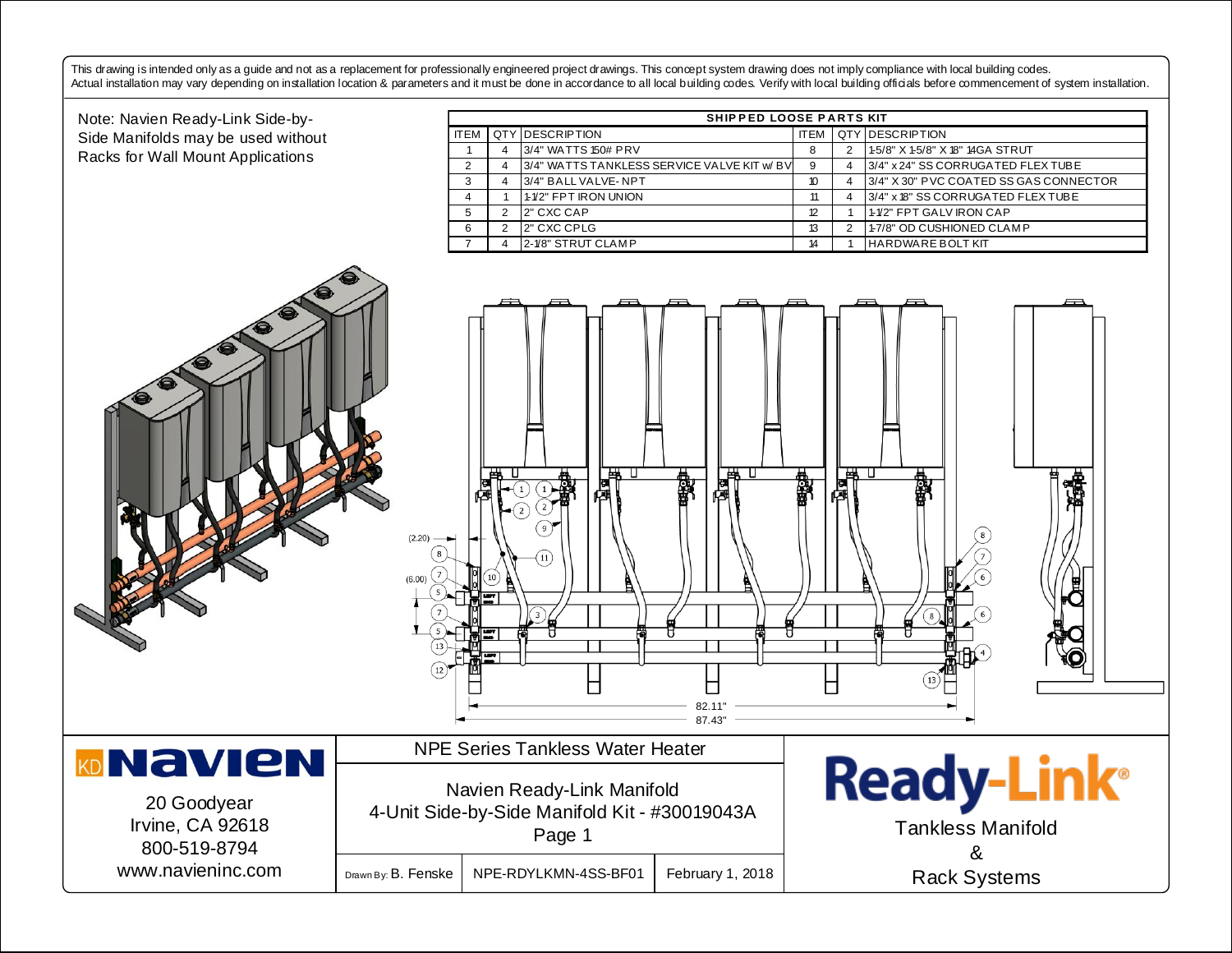This drawing is intended only as a guide and not as a replacement for professionally engineered project drawings. This concept system drawing does not imply compliance with local building codes.

First drawing is mended only as a guide and not as a replacement for professionally engineered project drawings. This concept system drawing does not imply compliance with local building codes.<br>Actual installation may vary ITEM QTY DESCRIPTION **ITEM** QTY DESCRIPTION Side Manifolds may be used without 1 4 3/4" WATTS 150# PRV 8 3 2 1-5/8" X 1-5/8" X 18" 14GA STRUT Racks for Wall Mount Applications 2 4 3/4" WATTS TANKLESS SERVICE VALVE KIT w/ BV 9 4 3/4" x 24" SS CORRUGATED FLEX TUBE 3 4 3/4" BALL VALVE-NPT 10 4 3/4" X 30" PVC COATED SS GAS CONNECTOR  $\begin{array}{cccccccc} 3 & 4 & 3/4 \cdot 8A \cup 1 & 4 & 3/4 \cdot 8 & 3/4 \cdot 8 & 3/4 \cdot 8 & 3/4 \cdot 8 & 3/4 \cdot 8 & 3/4 \cdot 8 & 3/4 \cdot 8 & 3/4 \cdot 8 & 3/4 \cdot 8 & 3/4 \cdot 8 & 3/4 \cdot 8 & 3/4 \cdot 8 & 3/4 \cdot 8 & 3/4 \cdot 8 & 3/4 \cdot 8 & 3/4 \cdot 8 & 3/4 \cdot 8 & 3/4 \cdot 8 & 3/4 \cdot 8 & 3/4 \cdot 8 & 3/4 \cdot 8 &$ 4 | 1 | 1-1/2" FPT IRON UNION 11 | 1 | 1 | 4 | 3/4" x 18" SS CORRUGATED FLEX TUBE <sup>7</sup> <sup>4</sup> 2-1/8" STRUT CLAM P <sup>14</sup> <sup>1</sup> HARDWARE BOLT KIT 5 2 2" CXC CAP 2 2" CXC CAP 2 2" CXC CAP 1  $\overline{a}$ Ø  $\overline{1}$ . **\** 8  $\mathcal{I}$ 7 9 11 ۹ 5 7 7 4 ı  $-82.11"$ 87.43" NPE Series Tankless Water Heater **MDNAVIEN Ready-Link®** Navien Ready-Link Manifold 20 Goodyear 4-Unit Side-by-Side Manifold Kit - #30019043A Irvine, CA 92618 Tankless Manifold Page 1 800-519-8794 & www.navieninc.com Drawn By: B. Fenske | NPE-RDYLKMN-4SS-BF01 | February 1, 2018 Rack Systems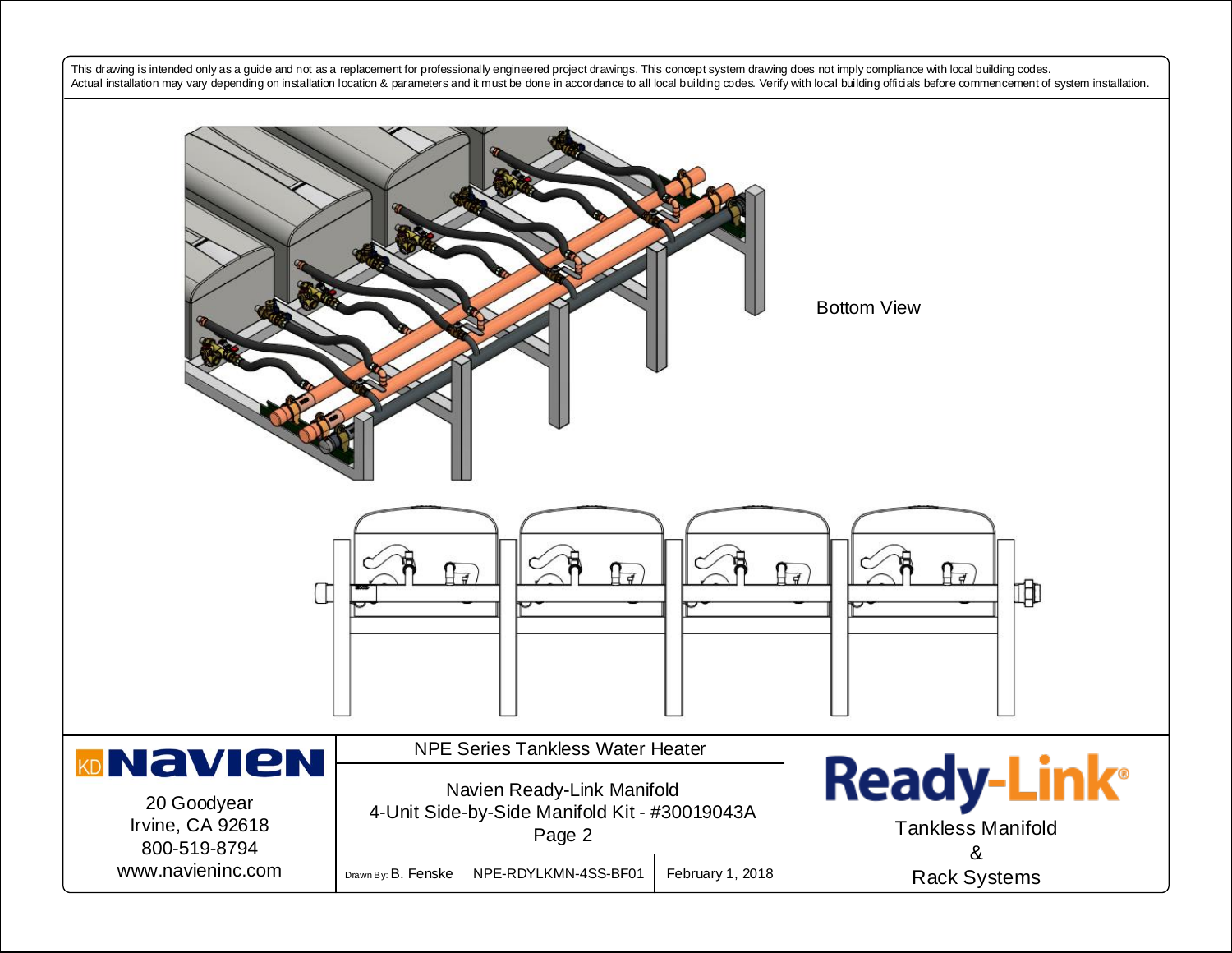This drawing is intended only as a guide and not as a replacement for professionally engineered project drawings. This concept system drawing does not imply compliance with local building codes. Actual installation may vary depending on installation location & parameters and it must be done in accordance to all local building codes. Verify with local building officials before commencement of system installation.